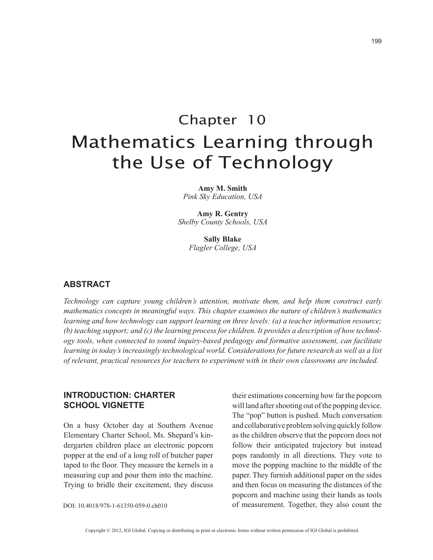# Chapter 10 Mathematics Learning through the Use of Technology

**Amy M. Smith** *Pink Sky Education, USA*

**Amy R. Gentry** *Shelby County Schools, USA*

> **Sally Blake** *Flagler College, USA*

## **ABSTRACT**

*Technology can capture young children's attention, motivate them, and help them construct early mathematics concepts in meaningful ways. This chapter examines the nature of children's mathematics learning and how technology can support learning on three levels: (a) a teacher information resource; (b) teaching support; and (c) the learning process for children. It provides a description of how technology tools, when connected to sound inquiry-based pedagogy and formative assessment, can facilitate learning in today's increasingly technological world. Considerations for future research as well as a list of relevant, practical resources for teachers to experiment with in their own classrooms are included.*

## **INTRODUCTION: CHARTER SCHOOL VIGNETTE**

On a busy October day at Southern Avenue Elementary Charter School, Ms. Shepard's kindergarten children place an electronic popcorn popper at the end of a long roll of butcher paper taped to the floor. They measure the kernels in a measuring cup and pour them into the machine. Trying to bridle their excitement, they discuss

their estimations concerning how far the popcorn will land after shooting out of the popping device. The "pop" button is pushed. Much conversation and collaborative problem solving quickly follow as the children observe that the popcorn does not follow their anticipated trajectory but instead pops randomly in all directions. They vote to move the popping machine to the middle of the paper. They furnish additional paper on the sides and then focus on measuring the distances of the popcorn and machine using their hands as tools of measurement. Together, they also count the

DOI: 10.4018/978-1-61350-059-0.ch010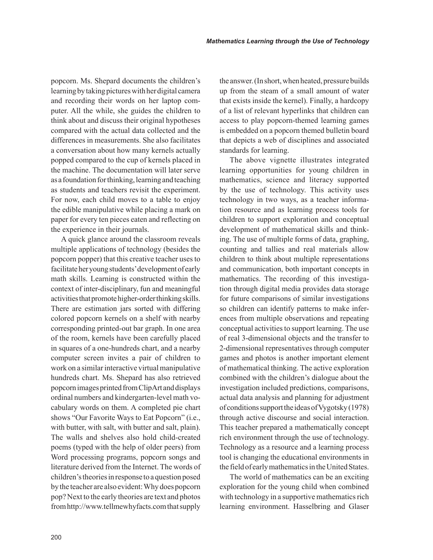popcorn. Ms. Shepard documents the children's learning by taking pictures with her digital camera and recording their words on her laptop computer. All the while, she guides the children to think about and discuss their original hypotheses compared with the actual data collected and the differences in measurements. She also facilitates a conversation about how many kernels actually popped compared to the cup of kernels placed in the machine. The documentation will later serve as a foundation for thinking, learning and teaching as students and teachers revisit the experiment. For now, each child moves to a table to enjoy the edible manipulative while placing a mark on paper for every ten pieces eaten and reflecting on the experience in their journals.

A quick glance around the classroom reveals multiple applications of technology (besides the popcorn popper) that this creative teacher uses to facilitate her young students' development of early math skills. Learning is constructed within the context of inter-disciplinary, fun and meaningful activities that promote higher-order thinking skills. There are estimation jars sorted with differing colored popcorn kernels on a shelf with nearby corresponding printed-out bar graph. In one area of the room, kernels have been carefully placed in squares of a one-hundreds chart, and a nearby computer screen invites a pair of children to work on a similar interactive virtual manipulative hundreds chart. Ms. Shepard has also retrieved popcorn images printed from ClipArt and displays ordinal numbers and kindergarten-level math vocabulary words on them. A completed pie chart shows "Our Favorite Ways to Eat Popcorn" (i.e., with butter, with salt, with butter and salt, plain). The walls and shelves also hold child-created poems (typed with the help of older peers) from Word processing programs, popcorn songs and literature derived from the Internet. The words of children's theories in response to a question posed by the teacher are also evident: Why does popcorn pop? Next to the early theories are text and photos from http://www.tellmewhyfacts.com that supply the answer. (In short, when heated, pressure builds up from the steam of a small amount of water that exists inside the kernel). Finally, a hardcopy of a list of relevant hyperlinks that children can access to play popcorn-themed learning games is embedded on a popcorn themed bulletin board that depicts a web of disciplines and associated standards for learning.

The above vignette illustrates integrated learning opportunities for young children in mathematics, science and literacy supported by the use of technology. This activity uses technology in two ways, as a teacher information resource and as learning process tools for children to support exploration and conceptual development of mathematical skills and thinking. The use of multiple forms of data, graphing, counting and tallies and real materials allow children to think about multiple representations and communication, both important concepts in mathematics. The recording of this investigation through digital media provides data storage for future comparisons of similar investigations so children can identify patterns to make inferences from multiple observations and repeating conceptual activities to support learning. The use of real 3-dimensional objects and the transfer to 2-dimensional representatives through computer games and photos is another important element of mathematical thinking. The active exploration combined with the children's dialogue about the investigation included predictions, comparisons, actual data analysis and planning for adjustment of conditions support the ideas of Vygotsky (1978) through active discourse and social interaction. This teacher prepared a mathematically concept rich environment through the use of technology. Technology as a resource and a learning process tool is changing the educational environments in the field of early mathematics in the United States.

The world of mathematics can be an exciting exploration for the young child when combined with technology in a supportive mathematics rich learning environment. Hasselbring and Glaser